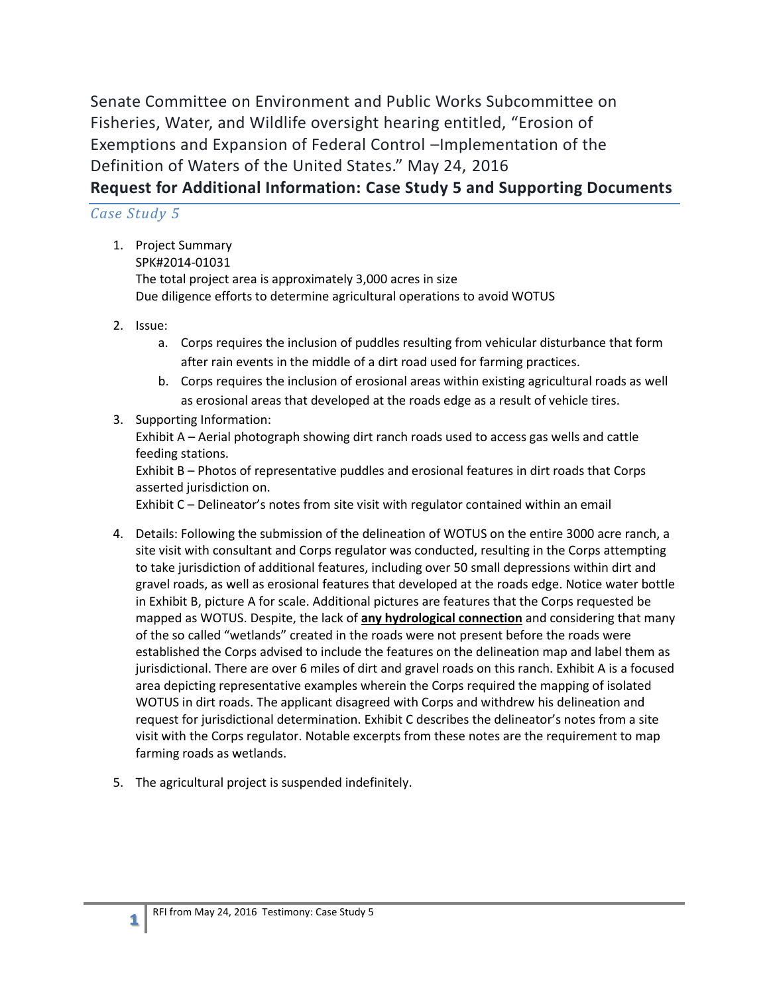Senate Committee on Environment and Public Works Subcommittee on Fisheries, Water, and Wildlife oversight hearing entitled, "Erosion of Exemptions and Expansion of Federal Control –Implementation of the Definition of Waters of the United States." May 24, 2016 **Request for Additional Information: Case Study 5 and Supporting Documents**

### *Case Study 5*

- 1. Project Summary SPK#2014-01031 The total project area is approximately 3,000 acres in size Due diligence efforts to determine agricultural operations to avoid WOTUS
- 2. Issue:

**1**

- a. Corps requires the inclusion of puddles resulting from vehicular disturbance that form after rain events in the middle of a dirt road used for farming practices.
- b. Corps requires the inclusion of erosional areas within existing agricultural roads as well as erosional areas that developed at the roads edge as a result of vehicle tires.
- 3. Supporting Information:

Exhibit A – Aerial photograph showing dirt ranch roads used to access gas wells and cattle feeding stations.

Exhibit B – Photos of representative puddles and erosional features in dirt roads that Corps asserted jurisdiction on.

Exhibit C – Delineator's notes from site visit with regulator contained within an email

- 4. Details: Following the submission of the delineation of WOTUS on the entire 3000 acre ranch, a site visit with consultant and Corps regulator was conducted, resulting in the Corps attempting to take jurisdiction of additional features, including over 50 small depressions within dirt and gravel roads, as well as erosional features that developed at the roads edge. Notice water bottle in Exhibit B, picture A for scale. Additional pictures are features that the Corps requested be mapped as WOTUS. Despite, the lack of **any hydrological connection** and considering that many of the so called "wetlands" created in the roads were not present before the roads were established the Corps advised to include the features on the delineation map and label them as jurisdictional. There are over 6 miles of dirt and gravel roads on this ranch. Exhibit A is a focused area depicting representative examples wherein the Corps required the mapping of isolated WOTUS in dirt roads. The applicant disagreed with Corps and withdrew his delineation and request for jurisdictional determination. Exhibit C describes the delineator's notes from a site visit with the Corps regulator. Notable excerpts from these notes are the requirement to map farming roads as wetlands.
- 5. The agricultural project is suspended indefinitely.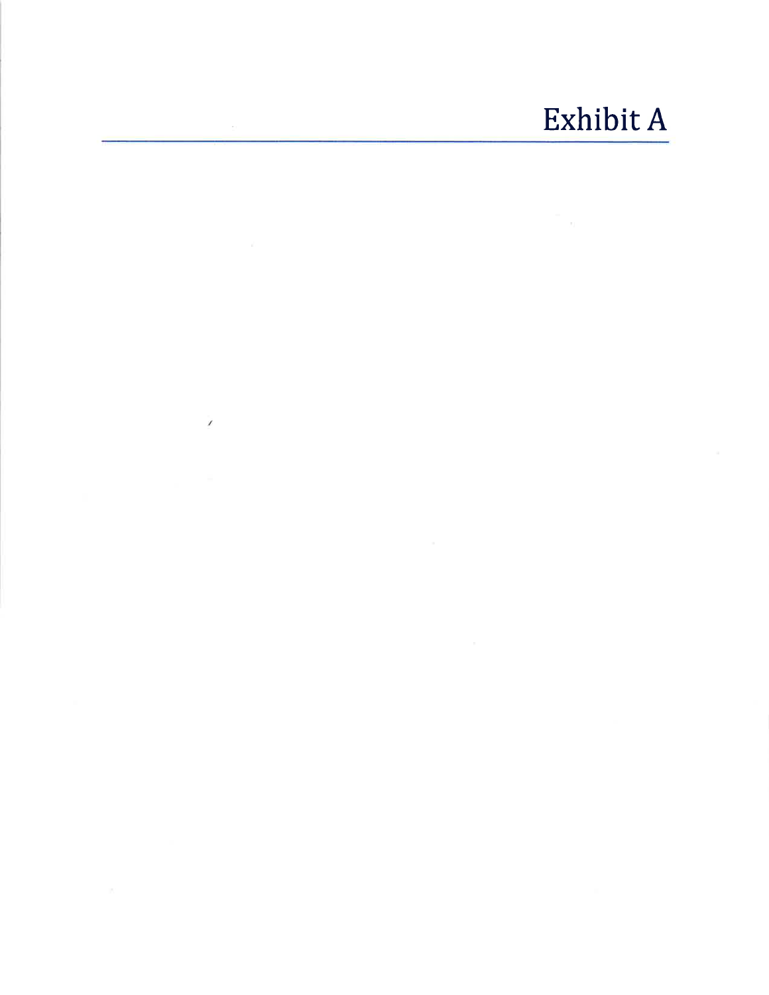# Exhibit A

 $\overline{\prime}$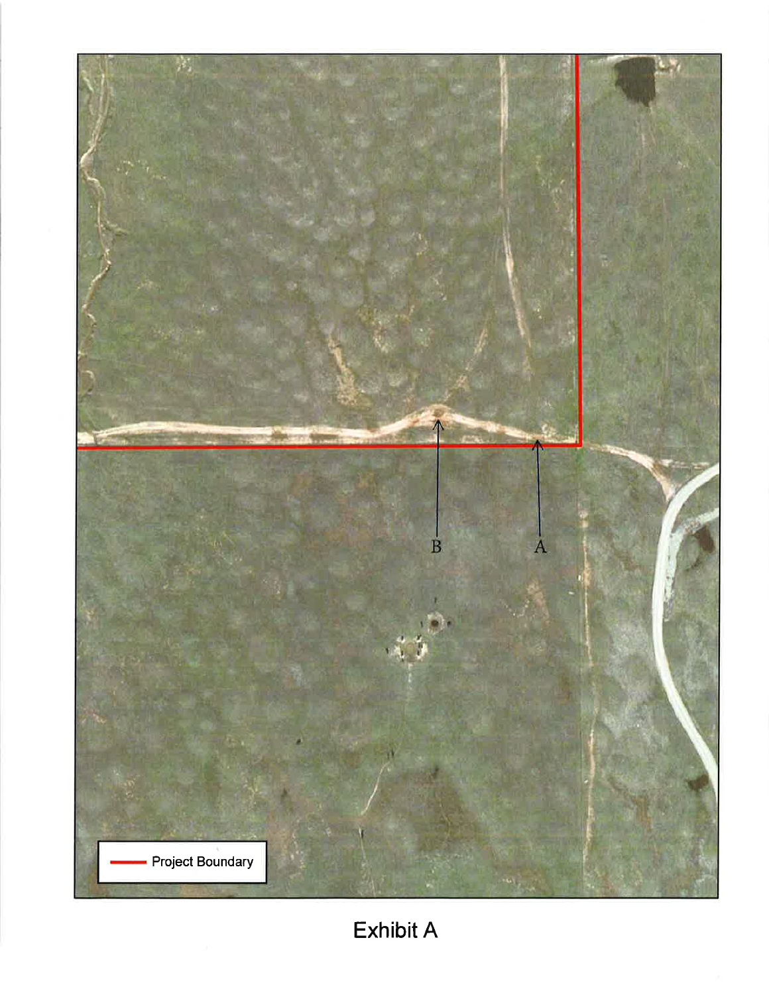

**Exhibit A**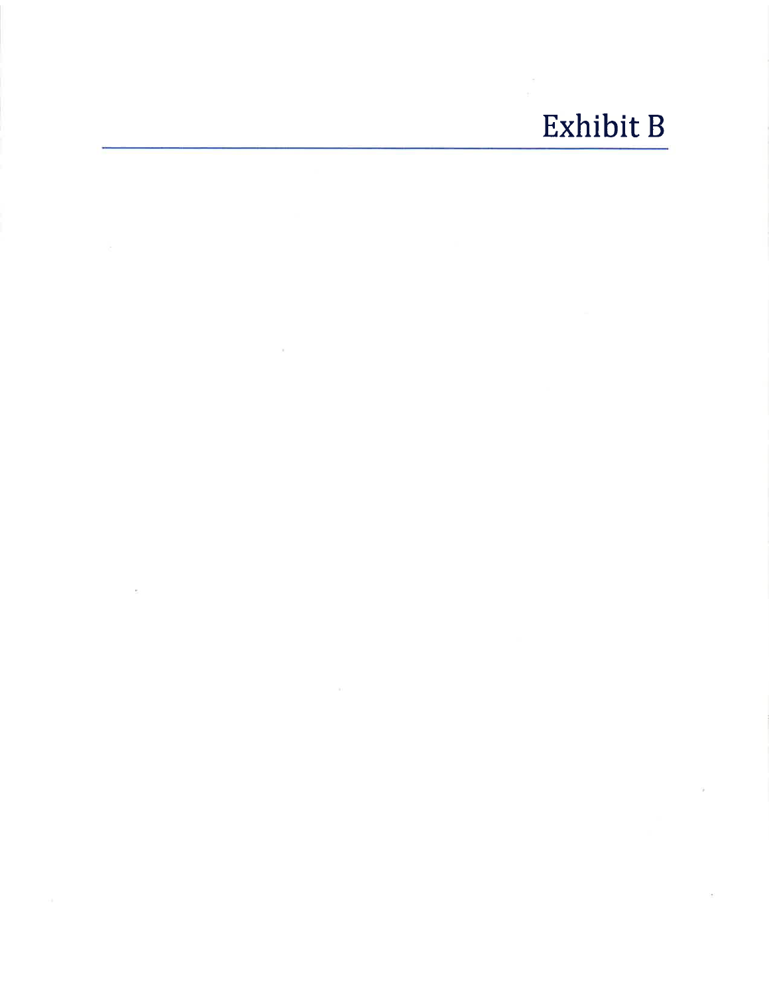### Exhibit B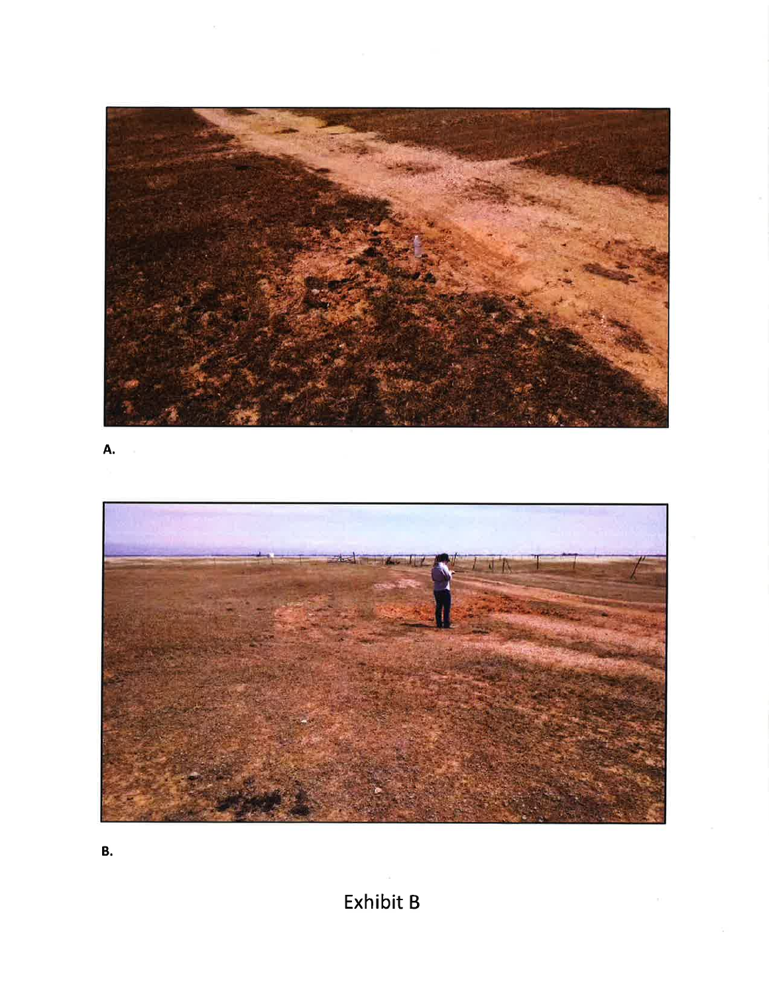

A.



В.

Exhibit B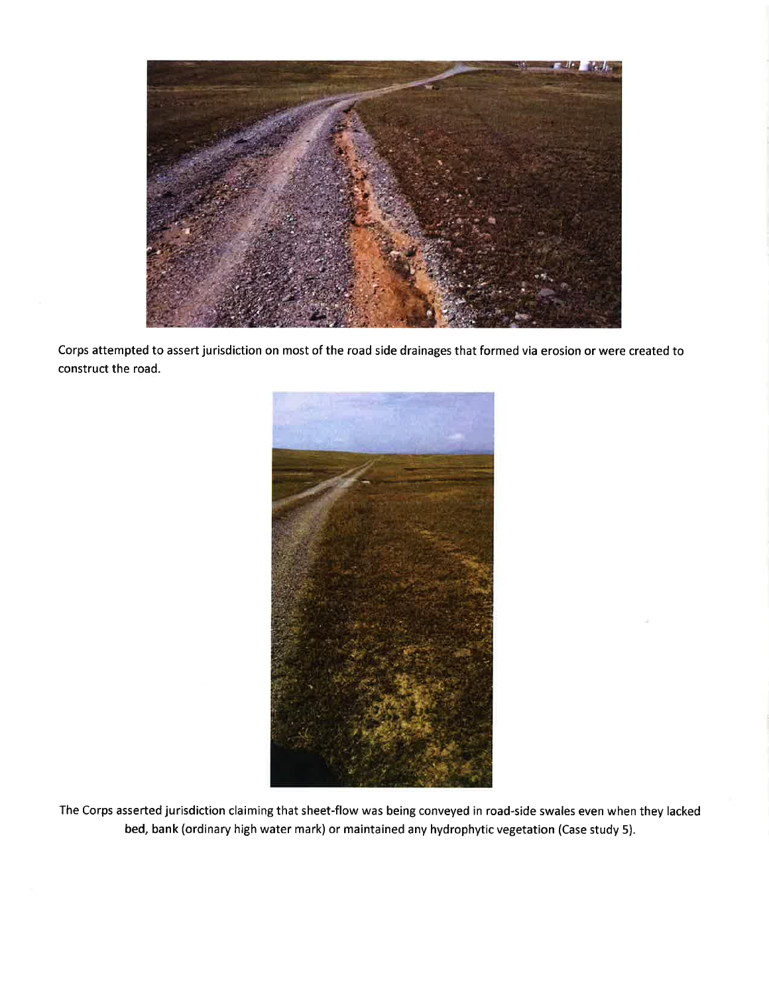

Corps attempted to assert jurisdiction on most of the road side drainages that formed via erosion or were created to construct the road.



The Corps asserted jurisdiction claiming that sheet-flow was being conveyed in road-side swales even when they lacked bed, bank (ordinary high water mark) or maintained any hydrophytic vegetation (Case study 5).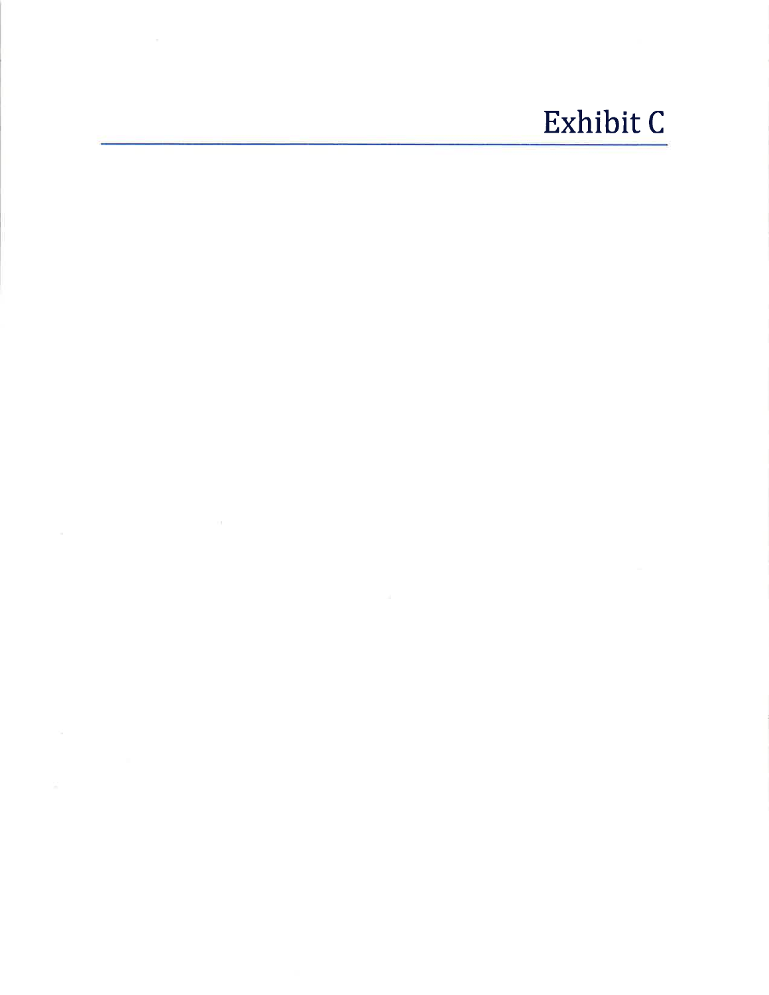## Exhibit C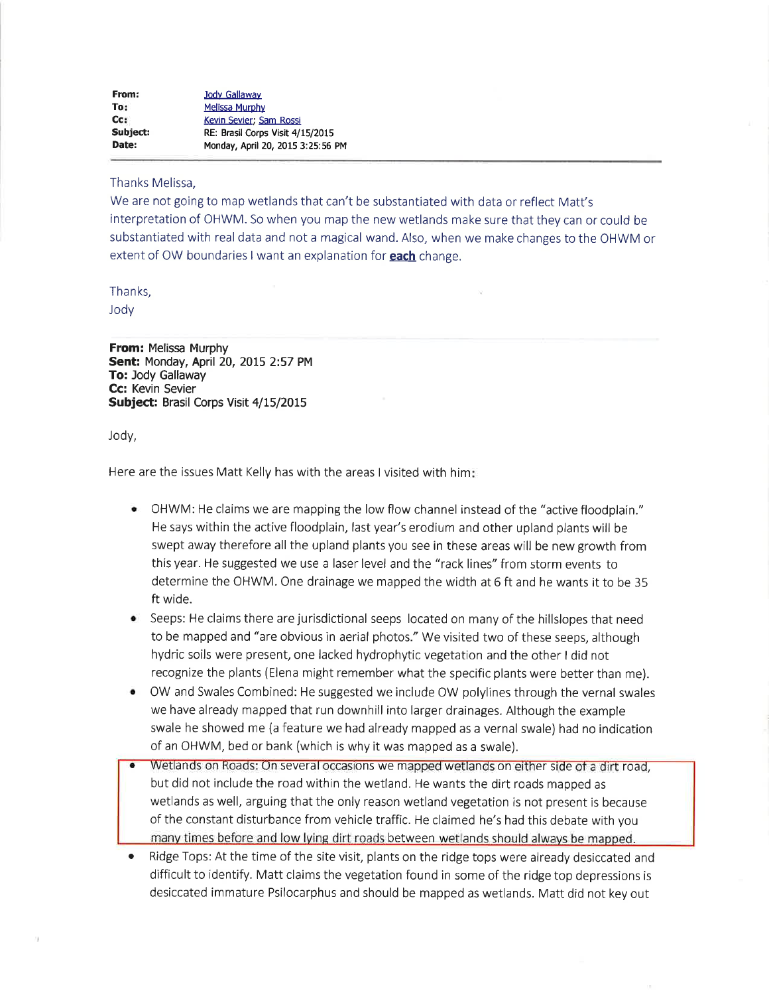| From:    | Jody Gallaway                     |
|----------|-----------------------------------|
| To:      | Melissa Murphy                    |
| Cc:      | Kevin Sevier: Sam Rossi           |
| Subject: | RE: Brasil Corps Visit 4/15/2015  |
| Date:    | Monday, April 20, 2015 3:25:56 PM |

#### Thanks Melissa,

We are not going to map wetlands that can't be substantiated with data or reflect Matt's interpretation of OHWM. So when you map the new wetlands make sure that they can or could be substantiated with real data and not a magical wand. Also, when we make changes to the OHWM or extent of OW boundaries I want an explanation for **each** change.

#### Thanks,

Jody

**From: Melissa Murphy** Sent: Monday, April 20, 2015 2:57 PM To: Jody Gallaway Cc: Kevin Sevier Subject: Brasil Corps Visit 4/15/2015

Jody,

Here are the issues Matt Kelly has with the areas I visited with him:

- OHWM: He claims we are mapping the low flow channel instead of the "active floodplain." He says within the active floodplain, last year's erodium and other upland plants will be swept away therefore all the upland plants you see in these areas will be new growth from this year. He suggested we use a laser level and the "rack lines" from storm events to determine the OHWM. One drainage we mapped the width at 6 ft and he wants it to be 35 ft wide.
- Seeps: He claims there are jurisdictional seeps located on many of the hillslopes that need to be mapped and "are obvious in aerial photos." We visited two of these seeps, although hydric soils were present, one lacked hydrophytic vegetation and the other I did not recognize the plants (Elena might remember what the specific plants were better than me).
- OW and Swales Combined: He suggested we include OW polylines through the vernal swales ۰ we have already mapped that run downhill into larger drainages. Although the example swale he showed me (a feature we had already mapped as a vernal swale) had no indication of an OHWM, bed or bank (which is why it was mapped as a swale).
- Wetlands on Roads: On several occasions we mapped wetlands on either side of a dirt road, but did not include the road within the wetland. He wants the dirt roads mapped as wetlands as well, arguing that the only reason wetland vegetation is not present is because of the constant disturbance from vehicle traffic. He claimed he's had this debate with you many times before and low lying dirt roads between wetlands should always be mapped.
- Ridge Tops: At the time of the site visit, plants on the ridge tops were already desiccated and difficult to identify. Matt claims the vegetation found in some of the ridge top depressions is desiccated immature Psilocarphus and should be mapped as wetlands. Matt did not key out